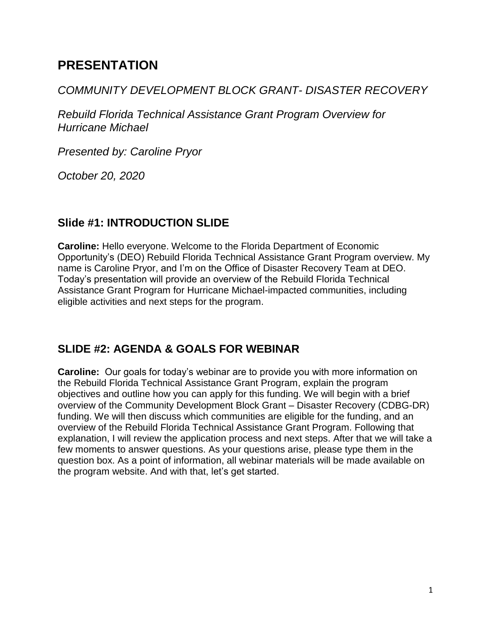# **PRESENTATION**

#### *COMMUNITY DEVELOPMENT BLOCK GRANT- DISASTER RECOVERY*

*Rebuild Florida Technical Assistance Grant Program Overview for Hurricane Michael*

*Presented by: Caroline Pryor*

*October 20, 2020*

## **Slide #1: INTRODUCTION SLIDE**

**Caroline:** Hello everyone. Welcome to the Florida Department of Economic Opportunity's (DEO) Rebuild Florida Technical Assistance Grant Program overview. My name is Caroline Pryor, and I'm on the Office of Disaster Recovery Team at DEO. Today's presentation will provide an overview of the Rebuild Florida Technical Assistance Grant Program for Hurricane Michael-impacted communities, including eligible activities and next steps for the program.

## **SLIDE #2: AGENDA & GOALS FOR WEBINAR**

**Caroline:** Our goals for today's webinar are to provide you with more information on the Rebuild Florida Technical Assistance Grant Program, explain the program objectives and outline how you can apply for this funding. We will begin with a brief overview of the Community Development Block Grant – Disaster Recovery (CDBG-DR) funding. We will then discuss which communities are eligible for the funding, and an overview of the Rebuild Florida Technical Assistance Grant Program. Following that explanation, I will review the application process and next steps. After that we will take a few moments to answer questions. As your questions arise, please type them in the question box. As a point of information, all webinar materials will be made available on the program website. And with that, let's get started.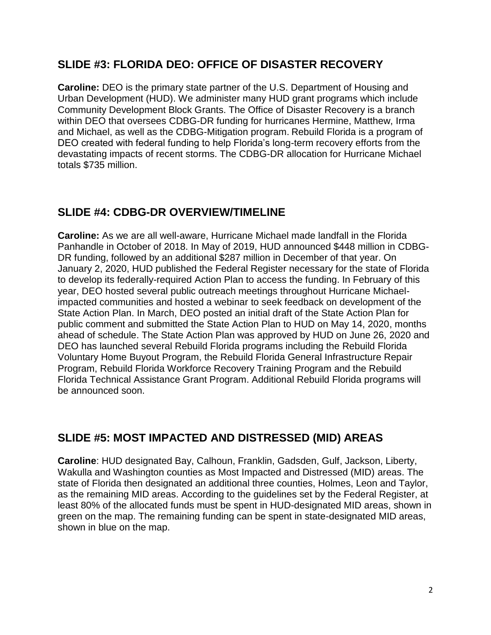#### **SLIDE #3: FLORIDA DEO: OFFICE OF DISASTER RECOVERY**

**Caroline:** DEO is the primary state partner of the U.S. Department of Housing and Urban Development (HUD). We administer many HUD grant programs which include Community Development Block Grants. The Office of Disaster Recovery is a branch within DEO that oversees CDBG-DR funding for hurricanes Hermine, Matthew, Irma and Michael, as well as the CDBG-Mitigation program. Rebuild Florida is a program of DEO created with federal funding to help Florida's long-term recovery efforts from the devastating impacts of recent storms. The CDBG-DR allocation for Hurricane Michael totals \$735 million.

## **SLIDE #4: CDBG-DR OVERVIEW/TIMELINE**

**Caroline:** As we are all well-aware, Hurricane Michael made landfall in the Florida Panhandle in October of 2018. In May of 2019, HUD announced \$448 million in CDBG-DR funding, followed by an additional \$287 million in December of that year. On January 2, 2020, HUD published the Federal Register necessary for the state of Florida to develop its federally-required Action Plan to access the funding. In February of this year, DEO hosted several public outreach meetings throughout Hurricane Michaelimpacted communities and hosted a webinar to seek feedback on development of the State Action Plan. In March, DEO posted an initial draft of the State Action Plan for public comment and submitted the State Action Plan to HUD on May 14, 2020, months ahead of schedule. The State Action Plan was approved by HUD on June 26, 2020 and DEO has launched several Rebuild Florida programs including the Rebuild Florida Voluntary Home Buyout Program, the Rebuild Florida General Infrastructure Repair Program, Rebuild Florida Workforce Recovery Training Program and the Rebuild Florida Technical Assistance Grant Program. Additional Rebuild Florida programs will be announced soon.

## **SLIDE #5: MOST IMPACTED AND DISTRESSED (MID) AREAS**

**Caroline**: HUD designated Bay, Calhoun, Franklin, Gadsden, Gulf, Jackson, Liberty, Wakulla and Washington counties as Most Impacted and Distressed (MID) areas. The state of Florida then designated an additional three counties, Holmes, Leon and Taylor, as the remaining MID areas. According to the guidelines set by the Federal Register, at least 80% of the allocated funds must be spent in HUD-designated MID areas, shown in green on the map. The remaining funding can be spent in state-designated MID areas, shown in blue on the map.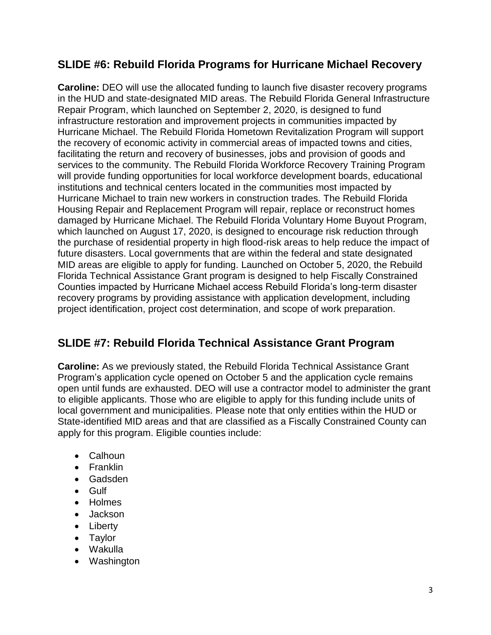#### **SLIDE #6: Rebuild Florida Programs for Hurricane Michael Recovery**

**Caroline:** DEO will use the allocated funding to launch five disaster recovery programs in the HUD and state-designated MID areas. The Rebuild Florida General Infrastructure Repair Program, which launched on September 2, 2020, is designed to fund infrastructure restoration and improvement projects in communities impacted by Hurricane Michael. The Rebuild Florida Hometown Revitalization Program will support the recovery of economic activity in commercial areas of impacted towns and cities, facilitating the return and recovery of businesses, jobs and provision of goods and services to the community. The Rebuild Florida Workforce Recovery Training Program will provide funding opportunities for local workforce development boards, educational institutions and technical centers located in the communities most impacted by Hurricane Michael to train new workers in construction trades. The Rebuild Florida Housing Repair and Replacement Program will repair, replace or reconstruct homes damaged by Hurricane Michael. The Rebuild Florida Voluntary Home Buyout Program, which launched on August 17, 2020, is designed to encourage risk reduction through the purchase of residential property in high flood-risk areas to help reduce the impact of future disasters. Local governments that are within the federal and state designated MID areas are eligible to apply for funding. Launched on October 5, 2020, the Rebuild Florida Technical Assistance Grant program is designed to help Fiscally Constrained Counties impacted by Hurricane Michael access Rebuild Florida's long-term disaster recovery programs by providing assistance with application development, including project identification, project cost determination, and scope of work preparation.

## **SLIDE #7: Rebuild Florida Technical Assistance Grant Program**

**Caroline:** As we previously stated, the Rebuild Florida Technical Assistance Grant Program's application cycle opened on October 5 and the application cycle remains open until funds are exhausted. DEO will use a contractor model to administer the grant to eligible applicants. Those who are eligible to apply for this funding include units of local government and municipalities. Please note that only entities within the HUD or State-identified MID areas and that are classified as a Fiscally Constrained County can apply for this program. Eligible counties include:

- Calhoun
- Franklin
- Gadsden
- Gulf
- Holmes
- Jackson
- Liberty
- Taylor
- Wakulla
- Washington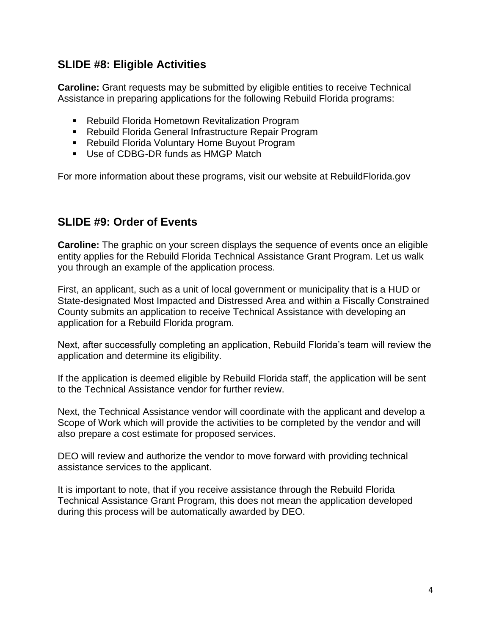#### **SLIDE #8: Eligible Activities**

**Caroline:** Grant requests may be submitted by eligible entities to receive Technical Assistance in preparing applications for the following Rebuild Florida programs:

- Rebuild Florida Hometown Revitalization Program
- Rebuild Florida General Infrastructure Repair Program
- Rebuild Florida Voluntary Home Buyout Program
- Use of CDBG-DR funds as HMGP Match

For more information about these programs, visit our website at RebuildFlorida.gov

#### **SLIDE #9: Order of Events**

**Caroline:** The graphic on your screen displays the sequence of events once an eligible entity applies for the Rebuild Florida Technical Assistance Grant Program. Let us walk you through an example of the application process.

First, an applicant, such as a unit of local government or municipality that is a HUD or State-designated Most Impacted and Distressed Area and within a Fiscally Constrained County submits an application to receive Technical Assistance with developing an application for a Rebuild Florida program.

Next, after successfully completing an application, Rebuild Florida's team will review the application and determine its eligibility.

If the application is deemed eligible by Rebuild Florida staff, the application will be sent to the Technical Assistance vendor for further review.

Next, the Technical Assistance vendor will coordinate with the applicant and develop a Scope of Work which will provide the activities to be completed by the vendor and will also prepare a cost estimate for proposed services.

DEO will review and authorize the vendor to move forward with providing technical assistance services to the applicant.

It is important to note, that if you receive assistance through the Rebuild Florida Technical Assistance Grant Program, this does not mean the application developed during this process will be automatically awarded by DEO.